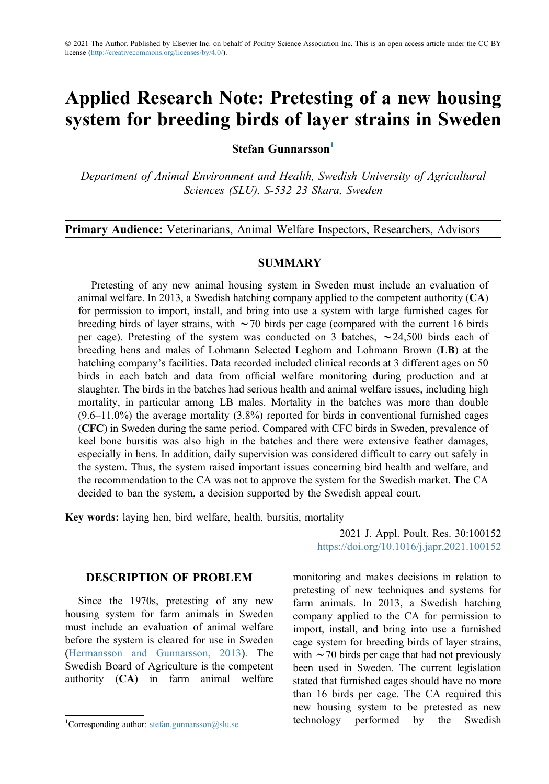# Applied Research Note: Pretesting of a new housing system for breeding birds of layer strains in Sweden

Stefan Gunnarsson<sup>1</sup>

Department of Animal Environment and Health, Swedish University of Agricultural Sciences (SLU), S-532 23 Skara, Sweden

Primary Audience: Veterinarians, Animal Welfare Inspectors, Researchers, Advisors

## SUMMARY

Pretesting of any new animal housing system in Sweden must include an evaluation of animal welfare. In 2013, a Swedish hatching company applied to the competent authority (CA) for permission to import, install, and bring into use a system with large furnished cages for breeding birds of layer strains, with  $\sim$  70 birds per cage (compared with the current 16 birds per cage). Pretesting of the system was conducted on 3 batches,  $\sim$  24,500 birds each of breeding hens and males of Lohmann Selected Leghorn and Lohmann Brown (LB) at the hatching company's facilities. Data recorded included clinical records at 3 different ages on 50 birds in each batch and data from official welfare monitoring during production and at slaughter. The birds in the batches had serious health and animal welfare issues, including high mortality, in particular among LB males. Mortality in the batches was more than double (9.6–11.0%) the average mortality (3.8%) reported for birds in conventional furnished cages (CFC) in Sweden during the same period. Compared with CFC birds in Sweden, prevalence of keel bone bursitis was also high in the batches and there were extensive feather damages, especially in hens. In addition, daily supervision was considered difficult to carry out safely in the system. Thus, the system raised important issues concerning bird health and welfare, and the recommendation to the CA was not to approve the system for the Swedish market. The CA decided to ban the system, a decision supported by the Swedish appeal court.

Key words: laying hen, bird welfare, health, bursitis, mortality

# DESCRIPTION OF PROBLEM

Since the 1970s, pretesting of any new housing system for farm animals in Sweden must include an evaluation of animal welfare before the system is cleared for use in Sweden ([Hermansson and Gunnarsson, 2013\)](#page-5-0). The Swedish Board of Agriculture is the competent authority (CA) in farm animal welfare

2021 J. Appl. Poult. Res. 30:100152 <https://doi.org/10.1016/j.japr.2021.100152>

monitoring and makes decisions in relation to pretesting of new techniques and systems for farm animals. In 2013, a Swedish hatching company applied to the CA for permission to import, install, and bring into use a furnished cage system for breeding birds of layer strains, with  $\sim$  70 birds per cage that had not previously been used in Sweden. The current legislation stated that furnished cages should have no more than 16 birds per cage. The CA required this new housing system to be pretested as new <sup>1</sup>Corresponding author: [stefan.gunnarsson@slu.se](mailto:stefan.gunnarsson@slu.se) **technology** performed by the Swedish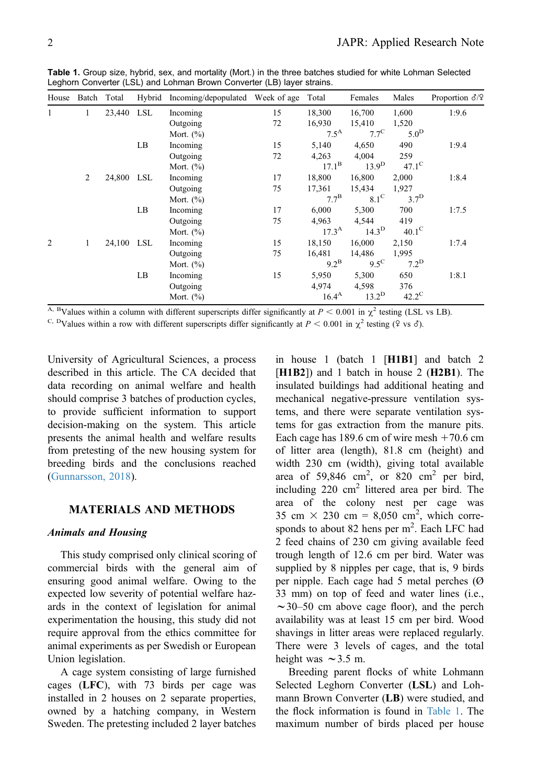| House | Batch Total |            | Hybrid | Incoming/depopulated Week of age |    | Total            | Females           | Males            | Proportion $\delta$ /? |
|-------|-------------|------------|--------|----------------------------------|----|------------------|-------------------|------------------|------------------------|
| 1     | 1           | 23,440 LSL |        | Incoming                         | 15 | 18,300           | 16,700            | 1,600            | 1:9.6                  |
|       |             |            |        | Outgoing                         | 72 | 16,930           | 15,410            | 1,520            |                        |
|       |             |            |        | Mort. $(\%)$                     |    | $7.5^{\text{A}}$ | $7.7^{\circ}$     | 5.0 <sup>D</sup> |                        |
|       |             |            | LB     | Incoming                         | 15 | 5,140            | 4,650             | 490              | 1:9.4                  |
|       |             |            |        | Outgoing                         | 72 | 4,263            | 4,004             | 259              |                        |
|       |             |            |        | Mort. $(\%)$                     |    | $17.1^{\rm B}$   | 13.9 <sup>D</sup> | $47.1^\circ$     |                        |
|       | 2           | 24,800 LSL |        | Incoming                         | 17 | 18,800           | 16,800            | 2,000            | 1:8.4                  |
|       |             |            |        | Outgoing                         | 75 | 17,361           | 15,434            | 1,927            |                        |
|       |             |            |        | Mort. $(\%)$                     |    | $7.7^{\rm B}$    | $8.1^\circ$       | 3.7 <sup>D</sup> |                        |
|       |             |            | LB     | Incoming                         | 17 | 6,000            | 5,300             | 700              | 1:7.5                  |
|       |             |            |        | Outgoing                         | 75 | 4,963            | 4,544             | 419              |                        |
|       |             |            |        | Mort. $(\%)$                     |    | $17.3^{\rm A}$   | 14.3 <sup>D</sup> | $40.1^\circ$     |                        |
| 2     | 1           | 24,100 LSL |        | Incoming                         | 15 | 18,150           | 16,000            | 2,150            | 1:7.4                  |
|       |             |            |        | Outgoing                         | 75 | 16,481           | 14,486            | 1,995            |                        |
|       |             |            |        | Mort. $(\%)$                     |    | $9.2^{\rm B}$    | $9.5^{\circ}$     | $7.2^D$          |                        |
|       |             |            | LB     | Incoming                         | 15 | 5,950            | 5,300             | 650              | 1:8.1                  |
|       |             |            |        | Outgoing                         |    | 4,974            | 4,598             | 376              |                        |
|       |             |            |        | Mort. $(\%)$                     |    | $16.4^{A}$       | $13.2^D$          | $42.2^{\circ}$   |                        |

<span id="page-1-0"></span>Table 1. Group size, hybrid, sex, and mortality (Mort.) in the three batches studied for white Lohman Selected Leghorn Converter (LSL) and Lohman Brown Converter (LB) layer strains.

<sup>A, B</sup>Values within a column with different superscripts differ significantly at  $P < 0.001$  in  $\chi^2$  testing (LSL vs LB).

<sup>C, D</sup>Values within a row with different superscripts differ significantly at  $P < 0.001$  in  $\chi^2$  testing ( $\Im$  vs  $\delta$ ).

University of Agricultural Sciences, a process described in this article. The CA decided that data recording on animal welfare and health should comprise 3 batches of production cycles, to provide sufficient information to support decision-making on the system. This article presents the animal health and welfare results from pretesting of the new housing system for breeding birds and the conclusions reached ([Gunnarsson, 2018](#page-5-1)).

# MATERIALS AND METHODS

#### Animals and Housing

This study comprised only clinical scoring of commercial birds with the general aim of ensuring good animal welfare. Owing to the expected low severity of potential welfare hazards in the context of legislation for animal experimentation the housing, this study did not require approval from the ethics committee for animal experiments as per Swedish or European Union legislation.

A cage system consisting of large furnished cages (LFC), with 73 birds per cage was installed in 2 houses on 2 separate properties, owned by a hatching company, in Western Sweden. The pretesting included 2 layer batches in house 1 (batch 1 [H1B1] and batch 2 [H1B2]) and 1 batch in house 2 (H2B1). The insulated buildings had additional heating and mechanical negative-pressure ventilation systems, and there were separate ventilation systems for gas extraction from the manure pits. Each cage has  $189.6$  cm of wire mesh  $+70.6$  cm of litter area (length), 81.8 cm (height) and width 230 cm (width), giving total available area of 59,846  $\text{cm}^2$ , or 820  $\text{cm}^2$  per bird, including  $220 \text{ cm}^2$  littered area per bird. The area of the colony nest per cage was 35 cm  $\times$  230 cm = 8,050 cm<sup>2</sup>, which corresponds to about 82 hens per m<sup>2</sup>. Each LFC had 2 feed chains of 230 cm giving available feed trough length of 12.6 cm per bird. Water was supplied by 8 nipples per cage, that is, 9 birds per nipple. Each cage had 5 metal perches (Ø 33 mm) on top of feed and water lines (i.e.,  $\sim$ 30–50 cm above cage floor), and the perch availability was at least 15 cm per bird. Wood shavings in litter areas were replaced regularly. There were 3 levels of cages, and the total height was  $\sim$  3.5 m.

Breeding parent flocks of white Lohmann Selected Leghorn Converter (LSL) and Lohmann Brown Converter (LB) were studied, and the flock information is found in [Table 1.](#page-1-0) The maximum number of birds placed per house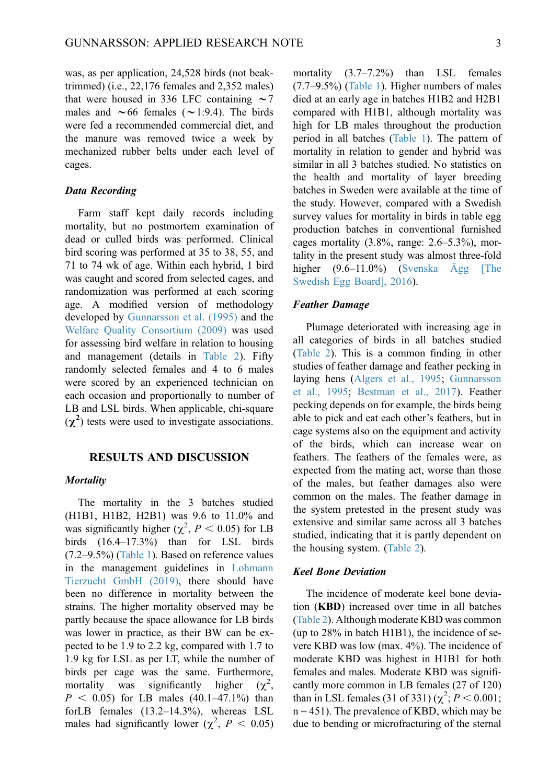was, as per application, 24,528 birds (not beaktrimmed) (i.e., 22,176 females and 2,352 males) that were housed in 336 LFC containing  $\sim$  7 males and  $\sim 66$  females ( $\sim 1:9.4$ ). The birds were fed a recommended commercial diet, and the manure was removed twice a week by mechanized rubber belts under each level of cages.

#### Data Recording

Farm staff kept daily records including mortality, but no postmortem examination of dead or culled birds was performed. Clinical bird scoring was performed at 35 to 38, 55, and 71 to 74 wk of age. Within each hybrid, 1 bird was caught and scored from selected cages, and randomization was performed at each scoring age. A modified version of methodology developed by [Gunnarsson et al. \(1995\)](#page-5-2) and the [Welfare Quality Consortium \(2009\)](#page-5-3) was used for assessing bird welfare in relation to housing and management (details in [Table 2\)](#page-3-0). Fifty randomly selected females and 4 to 6 males were scored by an experienced technician on each occasion and proportionally to number of LB and LSL birds. When applicable, chi-square  $(\chi^2)$  tests were used to investigate associations.

#### RESULTS AND DISCUSSION

#### **Mortality**

The mortality in the 3 batches studied (H1B1, H1B2, H2B1) was 9.6 to 11.0% and was significantly higher ( $\chi^2$ ,  $P < 0.05$ ) for LB birds (16.4–17.3%) than for LSL birds (7.2–9.5%) [\(Table 1](#page-1-0)). Based on reference values in the management guidelines in [Lohmann](#page-5-4) [Tierzucht GmbH \(2019\),](#page-5-4) there should have been no difference in mortality between the strains. The higher mortality observed may be partly because the space allowance for LB birds was lower in practice, as their BW can be expected to be 1.9 to 2.2 kg, compared with 1.7 to 1.9 kg for LSL as per LT, while the number of birds per cage was the same. Furthermore, mortality was significantly higher  $(\chi^2,$  $P < 0.05$ ) for LB males (40.1–47.1%) than forLB females (13.2–14.3%), whereas LSL males had significantly lower  $(\chi^2, P < 0.05)$ 

mortality (3.7–7.2%) than LSL females (7.7–9.5%) ([Table 1\)](#page-1-0). Higher numbers of males died at an early age in batches H1B2 and H2B1 compared with H1B1, although mortality was high for LB males throughout the production period in all batches ([Table 1\)](#page-1-0). The pattern of mortality in relation to gender and hybrid was similar in all 3 batches studied. No statistics on the health and mortality of layer breeding batches in Sweden were available at the time of the study. However, compared with a Swedish survey values for mortality in birds in table egg production batches in conventional furnished cages mortality  $(3.8\%$ , range:  $2.6-5.3\%$ ), mortality in the present study was almost three-fold higher (9.6–11.0%) [\(Svenska Ägg \[The](#page-5-5) [Swedish Egg Board\], 2016](#page-5-5)).

# Feather Damage

Plumage deteriorated with increasing age in all categories of birds in all batches studied [\(Table 2\)](#page-3-0). This is a common finding in other studies of feather damage and feather pecking in laying hens ([Algers et al., 1995](#page-5-6); [Gunnarsson](#page-5-2) [et al., 1995;](#page-5-2) [Bestman et al., 2017](#page-5-7)). Feather pecking depends on for example, the birds being able to pick and eat each other's feathers, but in cage systems also on the equipment and activity of the birds, which can increase wear on feathers. The feathers of the females were, as expected from the mating act, worse than those of the males, but feather damages also were common on the males. The feather damage in the system pretested in the present study was extensive and similar same across all 3 batches studied, indicating that it is partly dependent on the housing system. ([Table 2\)](#page-3-0).

#### Keel Bone Deviation

The incidence of moderate keel bone deviation (KBD) increased over time in all batches [\(Table 2\)](#page-3-0). Although moderate KBD was common (up to 28% in batch H1B1), the incidence of severe KBD was low (max. 4%). The incidence of moderate KBD was highest in H1B1 for both females and males. Moderate KBD was significantly more common in LB females (27 of 120) than in LSL females (31 of 331)  $(\chi^2; P < 0.001;$  $n = 451$ ). The prevalence of KBD, which may be due to bending or microfracturing of the sternal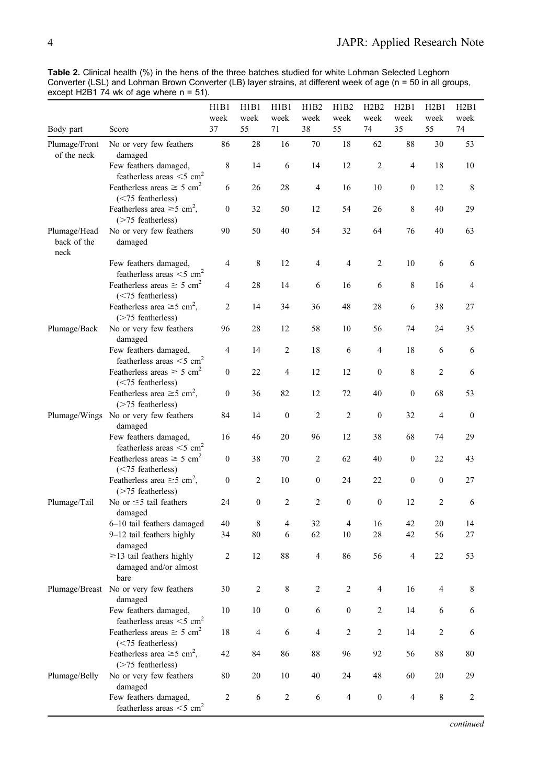<span id="page-3-0"></span>Table 2. Clinical health (%) in the hens of the three batches studied for white Lohman Selected Leghorn Converter (LSL) and Lohman Brown Converter (LB) layer strains, at different week of age (n = 50 in all groups, except H2B1 74 wk of age where  $n = 51$ ).

|                                     |                                                                     | H1B1<br>week     | H1B1<br>week     | H1B1<br>week     | H1B2<br>week   | H1B2<br>week     | H2B2<br>week     | H2B1<br>week     | H2B1<br>week   | H2B1<br>week     |
|-------------------------------------|---------------------------------------------------------------------|------------------|------------------|------------------|----------------|------------------|------------------|------------------|----------------|------------------|
| Body part                           | Score                                                               | 37               | 55               | 71               | 38             | 55               | 74               | 35               | 55             | 74               |
| Plumage/Front<br>of the neck        | No or very few feathers<br>damaged                                  | 86               | 28               | 16               | 70             | 18               | 62               | 88               | 30             | 53               |
|                                     | Few feathers damaged,<br>featherless areas $<$ 5 cm <sup>2</sup>    | 8                | 14               | 6                | 14             | 12               | 2                | 4                | 18             | 10               |
|                                     | Featherless areas $\geq$ 5 cm <sup>2</sup><br>$(< 75$ featherless)  | 6                | 26               | 28               | 4              | 16               | 10               | 0                | 12             | 8                |
|                                     | Featherless area $\geq$ 5 cm <sup>2</sup> ,<br>$($ >75 featherless) | $\boldsymbol{0}$ | 32               | 50               | 12             | 54               | 26               | 8                | 40             | 29               |
| Plumage/Head<br>back of the<br>neck | No or very few feathers<br>damaged                                  | 90               | 50               | 40               | 54             | 32               | 64               | 76               | 40             | 63               |
|                                     | Few feathers damaged,<br>featherless areas $\leq$ 5 cm <sup>2</sup> | 4                | 8                | 12               | 4              | $\overline{4}$   | 2                | 10               | 6              | 6                |
|                                     | Featherless areas $\geq$ 5 cm <sup>2</sup><br>(<75 featherless)     | 4                | 28               | 14               | 6              | 16               | 6                | 8                | 16             | 4                |
|                                     | Featherless area $\geq$ 5 cm <sup>2</sup> ,<br>$($ >75 featherless) | 2                | 14               | 34               | 36             | 48               | 28               | 6                | 38             | 27               |
| Plumage/Back                        | No or very few feathers<br>damaged                                  | 96               | 28               | 12               | 58             | 10               | 56               | 74               | 24             | 35               |
|                                     | Few feathers damaged,<br>featherless areas $\leq$ 5 cm <sup>2</sup> | $\overline{4}$   | 14               | $\overline{c}$   | 18             | 6                | 4                | 18               | 6              | 6                |
|                                     | Featherless areas $\geq$ 5 cm <sup>2</sup><br>$(< 75$ featherless)  | 0                | 22               | 4                | 12             | 12               | $\boldsymbol{0}$ | 8                | 2              | 6                |
|                                     | Featherless area $\geq$ 5 cm <sup>2</sup> ,<br>$($ >75 featherless) | $\boldsymbol{0}$ | 36               | 82               | 12             | 72               | 40               | $\boldsymbol{0}$ | 68             | 53               |
|                                     | Plumage/Wings No or very few feathers<br>damaged                    | 84               | 14               | $\boldsymbol{0}$ | 2              | $\overline{c}$   | $\boldsymbol{0}$ | 32               | 4              | $\boldsymbol{0}$ |
|                                     | Few feathers damaged,<br>featherless areas $\leq$ 5 cm <sup>2</sup> | 16               | 46               | 20               | 96             | 12               | 38               | 68               | 74             | 29               |
|                                     | Featherless areas $\geq$ 5 cm <sup>2</sup><br>$(< 75$ featherless)  | $\boldsymbol{0}$ | 38               | 70               | 2              | 62               | 40               | $\boldsymbol{0}$ | 22             | 43               |
|                                     | Featherless area $\geq$ 5 cm <sup>2</sup> ,<br>$($ >75 featherless) | 0                | 2                | 10               | 0              | 24               | 22               | $\boldsymbol{0}$ | 0              | 27               |
| Plumage/Tail                        | No or $\leq$ 5 tail feathers<br>damaged                             | 24               | $\boldsymbol{0}$ | 2                | $\overline{c}$ | $\mathbf{0}$     | $\mathbf{0}$     | 12               | 2              | 6                |
|                                     | 6-10 tail feathers damaged                                          | 40               | 8                | 4                | 32             | $\overline{4}$   | 16               | 42               | 20             | 14               |
|                                     | 9-12 tail feathers highly<br>damaged                                | 34               | 80               | 6                | 62             | 10               | 28               | 42               | 56             | 27               |
|                                     | $\geq$ 13 tail feathers highly<br>damaged and/or almost<br>bare     | 2                | 12               | 88               | 4              | 86               | 56               | 4                | 22             | 53               |
|                                     | Plumage/Breast No or very few feathers<br>damaged                   | 30               | $\mathfrak{D}$   | 8                | 2              | $\mathfrak{D}$   | 4                | 16               | $\overline{4}$ |                  |
|                                     | Few feathers damaged,<br>featherless areas $\leq 5$ cm <sup>2</sup> | 10               | 10               | $\boldsymbol{0}$ | 6              | $\boldsymbol{0}$ | 2                | 14               | 6              | 6                |
|                                     | Featherless areas $\geq 5$ cm <sup>2</sup><br>(<75 featherless)     | 18               | $\overline{4}$   | 6                | $\overline{4}$ | $\overline{c}$   | $\overline{c}$   | 14               | $\mathbf{2}$   | 6                |
|                                     | Featherless area $\geq$ 5 cm <sup>2</sup> ,<br>$($ >75 featherless) | 42               | 84               | 86               | $88\,$         | 96               | 92               | 56               | 88             | 80               |
| Plumage/Belly                       | No or very few feathers<br>damaged                                  | 80               | 20               | 10               | 40             | 24               | 48               | 60               | 20             | 29               |
|                                     | Few feathers damaged,<br>featherless areas $<$ 5 cm <sup>2</sup>    | $\overline{c}$   | 6                | $\overline{c}$   | 6              | 4                | $\boldsymbol{0}$ | 4                | $\,$ 8 $\,$    | 2                |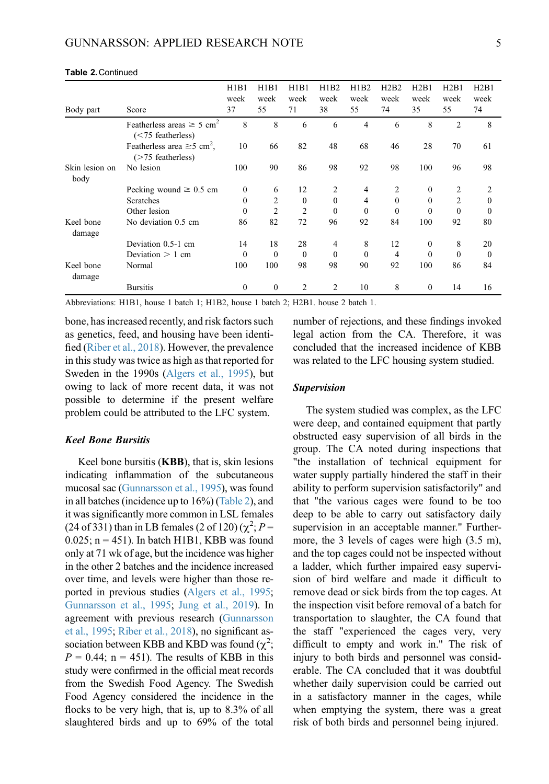| Body part              | Score                                                               | H1B1<br>week<br>37 | H1B1<br>week<br>55 | H1B1<br>week<br>71 | H1B2<br>week<br>38 | H1B2<br>week<br>55 | H2B2<br>week<br>74 | H2B1<br>week<br>35 | H2B1<br>week<br>55 | H2B1<br>week<br>74 |
|------------------------|---------------------------------------------------------------------|--------------------|--------------------|--------------------|--------------------|--------------------|--------------------|--------------------|--------------------|--------------------|
|                        | Featherless areas $\geq 5$ cm <sup>2</sup><br>$(< 75$ featherless)  | 8                  | 8                  | 6                  | 6                  | $\overline{4}$     | 6                  | 8                  | 2                  | 8                  |
|                        | Featherless area $\geq$ 5 cm <sup>2</sup> ,<br>$($ >75 featherless) | 10                 | 66                 | 82                 | 48                 | 68                 | 46                 | 28                 | 70                 | 61                 |
| Skin lesion on<br>body | No lesion                                                           | 100                | 90                 | 86                 | 98                 | 92                 | 98                 | 100                | 96                 | 98                 |
|                        | Pecking wound $\geq 0.5$ cm                                         | $\mathbf{0}$       | 6                  | 12                 | 2                  | $\overline{4}$     | 2                  | $\mathbf{0}$       | 2                  | 2                  |
|                        | Scratches                                                           | $\theta$           | $\overline{2}$     | $\theta$           | $\theta$           | 4                  | $\Omega$           | $\theta$           | 2                  | 0                  |
|                        | Other lesion                                                        | $\theta$           | 2                  | $\overline{c}$     | $\mathbf{0}$       | $\Omega$           | $\theta$           | $\theta$           | $\theta$           | 0                  |
| Keel bone<br>damage    | No deviation 0.5 cm                                                 | 86                 | 82                 | 72                 | 96                 | 92                 | 84                 | 100                | 92                 | 80                 |
|                        | Deviation 0.5-1 cm                                                  | 14                 | 18                 | 28                 | 4                  | 8                  | 12                 | $\theta$           | 8                  | 20                 |
|                        | Deviation $> 1$ cm                                                  | $\theta$           | $\theta$           | $\theta$           | $\theta$           | $\Omega$           | $\overline{4}$     | $\theta$           | $\Omega$           | $\theta$           |
| Keel bone<br>damage    | Normal                                                              | 100                | 100                | 98                 | 98                 | 90                 | 92                 | 100                | 86                 | 84                 |
|                        | <b>Bursitis</b>                                                     | $\mathbf{0}$       | $\mathbf{0}$       | 2                  | 2                  | 10                 | 8                  | $\mathbf{0}$       | 14                 | 16                 |

#### Table 2.Continued

Abbreviations: H1B1, house 1 batch 1; H1B2, house 1 batch 2; H2B1. house 2 batch 1.

bone, has increased recently, and risk factors such as genetics, feed, and housing have been identified ([Riber et al., 2018](#page-5-8)). However, the prevalence in this study was twice as high as that reported for Sweden in the 1990s ([Algers et al., 1995\)](#page-5-6), but owing to lack of more recent data, it was not possible to determine if the present welfare problem could be attributed to the LFC system.

#### Keel Bone Bursitis

Keel bone bursitis (KBB), that is, skin lesions indicating inflammation of the subcutaneous mucosal sac [\(Gunnarsson et al., 1995](#page-5-2)), was found in all batches (incidence up to 16%) [\(Table 2](#page-3-0)), and it was significantly more common in LSL females (24 of 331) than in LB females (2 of 120) ( $\chi^2$ ; P = 0.025;  $n = 451$ ). In batch H1B1, KBB was found only at 71 wk of age, but the incidence was higher in the other 2 batches and the incidence increased over time, and levels were higher than those reported in previous studies [\(Algers et al., 1995](#page-5-6); [Gunnarsson et al., 1995](#page-5-2); [Jung et al., 2019](#page-5-9)). In agreement with previous research [\(Gunnarsson](#page-5-2) [et al., 1995](#page-5-2); [Riber et al., 2018](#page-5-8)), no significant association between KBB and KBD was found  $(\chi^2)$ ;  $P = 0.44$ ; n = 451). The results of KBB in this study were confirmed in the official meat records from the Swedish Food Agency. The Swedish Food Agency considered the incidence in the flocks to be very high, that is, up to 8.3% of all slaughtered birds and up to 69% of the total number of rejections, and these findings invoked legal action from the CA. Therefore, it was concluded that the increased incidence of KBB was related to the LFC housing system studied.

#### Supervision

The system studied was complex, as the LFC were deep, and contained equipment that partly obstructed easy supervision of all birds in the group. The CA noted during inspections that "the installation of technical equipment for water supply partially hindered the staff in their ability to perform supervision satisfactorily" and that "the various cages were found to be too deep to be able to carry out satisfactory daily supervision in an acceptable manner." Furthermore, the 3 levels of cages were high (3.5 m), and the top cages could not be inspected without a ladder, which further impaired easy supervision of bird welfare and made it difficult to remove dead or sick birds from the top cages. At the inspection visit before removal of a batch for transportation to slaughter, the CA found that the staff "experienced the cages very, very difficult to empty and work in." The risk of injury to both birds and personnel was considerable. The CA concluded that it was doubtful whether daily supervision could be carried out in a satisfactory manner in the cages, while when emptying the system, there was a great risk of both birds and personnel being injured.